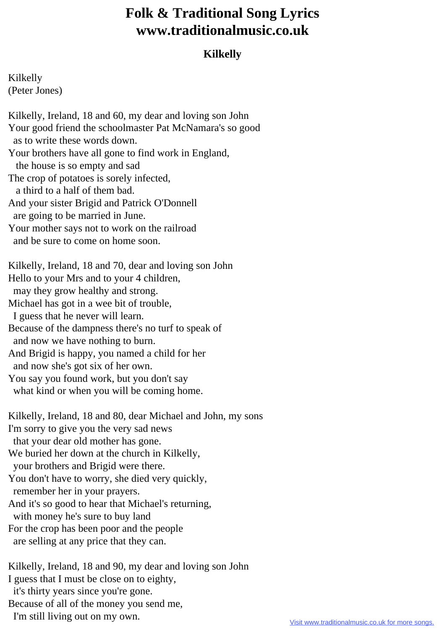## **Folk & Traditional Song Lyrics www.traditionalmusic.co.uk**

## **Kilkelly**

Kilkelly (Peter Jones)

Kilkelly, Ireland, 18 and 60, my dear and loving son John Your good friend the schoolmaster Pat McNamara's so good as to write these words down. Your brothers have all gone to find work in England, the house is so empty and sad The crop of potatoes is sorely infected, a third to a half of them bad. And your sister Brigid and Patrick O'Donnell are going to be married in June. Your mother says not to work on the railroad and be sure to come on home soon. Kilkelly, Ireland, 18 and 70, dear and loving son John Hello to your Mrs and to your 4 children, may they grow healthy and strong. Michael has got in a wee bit of trouble, I guess that he never will learn. Because of the dampness there's no turf to speak of and now we have nothing to burn. And Brigid is happy, you named a child for her and now she's got six of her own. You say you found work, but you don't say what kind or when you will be coming home. Kilkelly, Ireland, 18 and 80, dear Michael and John, my sons I'm sorry to give you the very sad news that your dear old mother has gone. We buried her down at the church in Kilkelly, your brothers and Brigid were there. You don't have to worry, she died very quickly, remember her in your prayers. And it's so good to hear that Michael's returning, with money he's sure to buy land For the crop has been poor and the people are selling at any price that they can. Kilkelly, Ireland, 18 and 90, my dear and loving son John I guess that I must be close on to eighty,

it's thirty years since you're gone.

Because of all of the money you send me,

I'm still living out on my own.